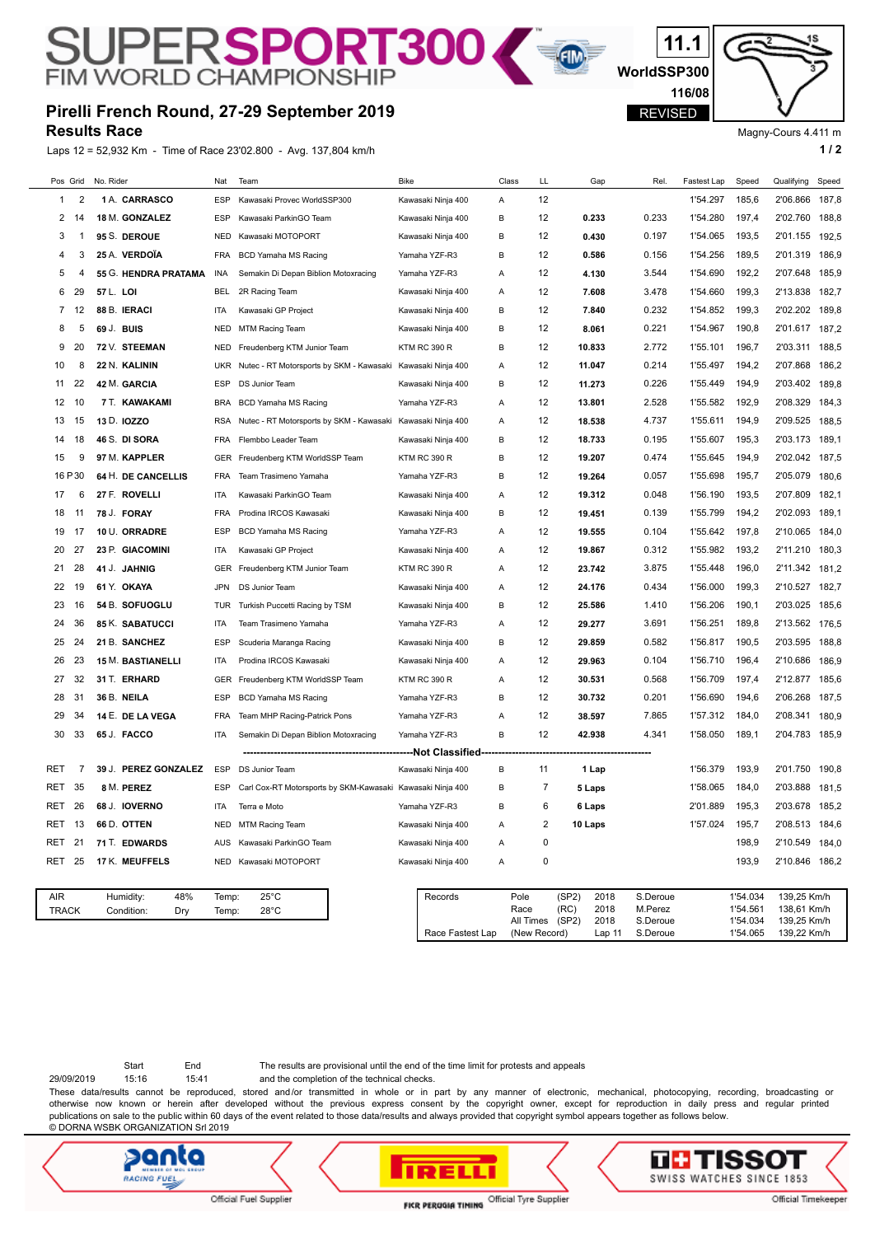## **Pirelli French Round, 27-29 September 2019**

SUPERSPORT300

**Results Race**

Laps 12 = 52,932 Km - Time of Race 23'02.800 - Avg. 137,804 km/h **1 / 2 1 / 2** 



Magny-Cours 4.411 m

**WorldSSP300**

E

REVISED

**11.1**

**116/08**

|  |              |     | $-$ , $  -$<br><b>THIS OF LOOD TO ATTOOP</b> |            |                                                            |                     |       |                 |                               |                     |             |                      |                            |       |
|--|--------------|-----|----------------------------------------------|------------|------------------------------------------------------------|---------------------|-------|-----------------|-------------------------------|---------------------|-------------|----------------------|----------------------------|-------|
|  | Pos Grid     |     | No. Rider                                    | Nat        | Team                                                       | <b>Bike</b>         | Class | LL              | Gap                           | Rel                 | Fastest Lap | Speed                | Qualifying                 | Speed |
|  | 1            | 2   | 1 A. CARRASCO                                | ESP        | Kawasaki Provec WorldSSP300                                | Kawasaki Ninja 400  | Α     | 12              |                               |                     | 1'54.297    | 185,6                | 2'06.866                   | 187,8 |
|  | 2            | 14  | 18 M. GONZALEZ                               | ESP        | Kawasaki ParkinGO Team                                     | Kawasaki Ninja 400  | В     | 12              | 0.233                         | 0.233               | 1'54.280    | 197,4                | 2'02.760                   | 188,8 |
|  | 3            | -1  | 95 S. DEROUE                                 | NED        | Kawasaki MOTOPORT                                          | Kawasaki Ninja 400  | В     | 12              | 0.430                         | 0.197               | 1'54.065    | 193,5                | 2'01.155                   | 192,5 |
|  | 4            | 3   | 25 A. VERDOÏA                                | FRA        | <b>BCD Yamaha MS Racing</b>                                | Yamaha YZF-R3       | В     | 12              | 0.586                         | 0.156               | 1'54.256    | 189,5                | 2'01.319                   | 186,9 |
|  | 5            | 4   | 55 G. HENDRA PRATAMA                         | INA        | Semakin Di Depan Biblion Motoxracing                       | Yamaha YZF-R3       | Α     | 12              | 4.130                         | 3.544               | 1'54.690    | 192,2                | 2'07.648                   | 185,9 |
|  | 6            | 29  | 57 L. LOI                                    | <b>BEL</b> | 2R Racing Team                                             | Kawasaki Ninja 400  | Α     | 12              | 7.608                         | 3.478               | 1'54.660    | 199,3                | 2'13.838                   | 182,7 |
|  | 7            | 12  | 88 B. IERACI                                 | <b>ITA</b> | Kawasaki GP Project                                        | Kawasaki Ninja 400  | В     | 12              | 7.840                         | 0.232               | 1'54.852    | 199,3                | 2'02.202                   | 189,8 |
|  | 8            | 5   | 69 J. BUIS                                   | NED        | <b>MTM Racing Team</b>                                     | Kawasaki Ninja 400  | В     | 12              | 8.061                         | 0.221               | 1'54.967    | 190,8                | 2'01.617                   | 187,2 |
|  | 9            | 20  | 72 V. STEEMAN                                | <b>NED</b> | Freudenberg KTM Junior Team                                | <b>KTM RC 390 R</b> | В     | 12              | 10.833                        | 2.772               | 1'55.101    | 196,7                | 2'03.311                   | 188,5 |
|  | 10           | 8   | 22 N. KALININ                                | <b>UKR</b> | Nutec - RT Motorsports by SKM - Kawasaki                   | Kawasaki Ninja 400  | Α     | 12              | 11.047                        | 0.214               | 1'55.497    | 194,2                | 2'07.868                   | 186,2 |
|  | 11           | 22  | 42 M. GARCIA                                 | ESP        | DS Junior Team                                             | Kawasaki Ninja 400  | в     | 12              | 11.273                        | 0.226               | 1'55.449    | 194,9                | 2'03.402                   | 189,8 |
|  | 12           | 10  | 7 T. KAWAKAMI                                | BRA        | <b>BCD Yamaha MS Racing</b>                                | Yamaha YZF-R3       | Α     | 12              | 13.801                        | 2.528               | 1'55.582    | 192,9                | 2'08.329                   | 184,3 |
|  | 13           | 15  | 13 D. IOZZO                                  | <b>RSA</b> | Nutec - RT Motorsports by SKM - Kawasaki                   | Kawasaki Ninja 400  | Α     | 12              | 18.538                        | 4.737               | 1'55.611    | 194,9                | 2'09.525                   | 188,5 |
|  | 14           | 18  | 46 S. DI SORA                                | FRA        | Flembbo Leader Team                                        | Kawasaki Ninja 400  | В     | 12              | 18.733                        | 0.195               | 1'55.607    | 195,3                | 2'03.173                   | 189,1 |
|  | 15           | 9   | 97 M. KAPPLER                                | <b>GER</b> | Freudenberg KTM WorldSSP Team                              | <b>KTM RC 390 R</b> | В     | 12              | 19.207                        | 0.474               | 1'55.645    | 194,9                | 2'02.042                   | 187,5 |
|  | 16 P 30      |     | 64 H. DE CANCELLIS                           | <b>FRA</b> | Team Trasimeno Yamaha                                      | Yamaha YZF-R3       | В     | 12              | 19.264                        | 0.057               | 1'55.698    | 195,7                | 2'05.079                   | 180,6 |
|  | 17           | 6   | 27 F. ROVELLI                                | ITA        | Kawasaki ParkinGO Team                                     | Kawasaki Ninja 400  | Α     | 12              | 19.312                        | 0.048               | 1'56.190    | 193,5                | 2'07.809                   | 182,1 |
|  | 18           | 11  | 78 J. FORAY                                  | <b>FRA</b> | Prodina IRCOS Kawasaki                                     | Kawasaki Ninja 400  | В     | 12              | 19.451                        | 0.139               | 1'55.799    | 194,2                | 2'02.093                   | 189,1 |
|  | 19           | 17  | 10 U. ORRADRE                                | ESP        | <b>BCD Yamaha MS Racing</b>                                | Yamaha YZF-R3       | Α     | 12              | 19.555                        | 0.104               | 1'55.642    | 197,8                | 2'10.065                   | 184,0 |
|  | 20           | 27  | 23 P. GIACOMINI                              | ITA        | Kawasaki GP Project                                        | Kawasaki Ninja 400  | Α     | 12              | 19.867                        | 0.312               | 1'55.982    | 193,2                | 2'11.210                   | 180,3 |
|  | 21           | 28  | 41 J. JAHNIG                                 | GER        | Freudenberg KTM Junior Team                                | <b>KTM RC 390 R</b> | Α     | 12              | 23.742                        | 3.875               | 1'55.448    | 196,0                | 2'11.342                   | 181,2 |
|  | 22           | 19  | 61 Y. OKAYA                                  | JPN        | DS Junior Team                                             | Kawasaki Ninja 400  | Α     | 12              | 24.176                        | 0.434               | 1'56.000    | 199,3                | 2'10.527                   | 182,7 |
|  | 23           | 16  | 54 B. SOFUOGLU                               | TUR        | Turkish Puccetti Racing by TSM                             | Kawasaki Ninja 400  | В     | 12              | 25.586                        | 1.410               | 1'56.206    | 190,1                | 2'03.025                   | 185,6 |
|  | 24           | 36  | <b>85 K. SABATUCCI</b>                       | ITA        | Team Trasimeno Yamaha                                      | Yamaha YZF-R3       | Α     | 12              | 29.277                        | 3.691               | 1'56.251    | 189,8                | 2'13.562                   | 176,5 |
|  | 25           | 24  | 21 B. SANCHEZ                                | <b>ESP</b> | Scuderia Maranga Racing                                    | Kawasaki Ninja 400  | В     | 12              | 29.859                        | 0.582               | 1'56.817    | 190,5                | 2'03.595                   | 188,8 |
|  | 26           | 23  | <b>15 M. BASTIANELLI</b>                     | <b>ITA</b> | Prodina IRCOS Kawasaki                                     | Kawasaki Ninja 400  | Α     | 12              | 29.963                        | 0.104               | 1'56.710    | 196,4                | 2'10.686                   | 186,9 |
|  | 27           | 32  | 31 T. ERHARD                                 | <b>GER</b> | Freudenberg KTM WorldSSP Team                              | <b>KTM RC 390 R</b> | Α     | 12              | 30.531                        | 0.568               | 1'56.709    | 197,4                | 2'12.877                   | 185,6 |
|  | 28           | 31  | 36 B. NEILA                                  | ESP        | BCD Yamaha MS Racing                                       | Yamaha YZF-R3       | в     | 12              | 30.732                        | 0.201               | 1'56.690    | 194,6                | 2'06.268                   | 187,5 |
|  | 29           | 34  | 14 E. DE LA VEGA                             | <b>FRA</b> | Team MHP Racing-Patrick Pons                               | Yamaha YZF-R3       | Α     | 12              | 38.597                        | 7.865               | 1'57.312    | 184,0                | 2'08.341                   | 180,9 |
|  | 30           | 33  | 65 J. FACCO                                  | ITA        | Semakin Di Depan Biblion Motoxracing                       | Yamaha YZF-R3       | В     | 12              | 42.938                        | 4.341               | 1'58.050    | 189,1                | 2'04.783                   | 185,9 |
|  |              |     |                                              |            |                                                            | ---Not Classified-  |       |                 |                               |                     |             |                      |                            |       |
|  | RET          | 7   | <b>PEREZ GONZALEZ</b><br>39 J.               | <b>ESP</b> | DS Junior Team                                             | Kawasaki Ninja 400  | В     | 11              | 1 Lap                         |                     | 1'56.379    | 193,9                | 2'01.750                   | 190,8 |
|  | RET          | 35  | 8 M. PEREZ                                   | <b>ESP</b> | Carl Cox-RT Motorsports by SKM-Kawasaki Kawasaki Ninja 400 |                     | В     | 7               | 5 Laps                        |                     | 1'58.065    | 184,0                | 2'03.888                   | 181,5 |
|  | RET          | 26  | 68 J. IOVERNO                                | ITA        | Terra e Moto                                               | Yamaha YZF-R3       | В     | 6               | 6 Laps                        |                     | 2'01.889    | 195,3                | 2'03.678                   | 185,2 |
|  | RET 13       |     | 66 D. OTTEN                                  |            | NED MTM Racing Team                                        | Kawasaki Ninja 400  | Α     | 2               | 10 Laps                       |                     | 1'57.024    | 195,7                | 2'08.513 184,6             |       |
|  | RET          | -21 | 71 T. EDWARDS                                | AUS        | Kawasaki ParkinGO Team                                     | Kawasaki Ninja 400  | Α     | 0               |                               |                     |             | 198,9                | 2'10.549 184,0             |       |
|  | RET 25       |     | 17 K. MEUFFELS                               | NED        | Kawasaki MOTOPORT                                          | Kawasaki Ninja 400  | Α     | 0               |                               |                     |             | 193,9                | 2'10.846 186,2             |       |
|  |              |     |                                              |            |                                                            |                     |       |                 |                               |                     |             |                      |                            |       |
|  | AIR          |     | 48%<br>Humidity:                             | Temp:      | $25^{\circ}$ C                                             | Records             |       | Pole<br>Race    | (SP2)<br>2018<br>(RC)<br>2018 | S.Deroue<br>M.Perez |             | 1'54.034<br>1'54.561 | 139,25 Km/h<br>138,61 Km/h |       |
|  | <b>TRACK</b> |     | Condition:<br>Dry                            | Temp:      | $28^{\circ}$ C                                             |                     |       | All Times (SP2) | 2018                          | S.Deroue            |             | 1'54.034             | 139,25 Km/h                |       |
|  |              |     |                                              |            |                                                            | Race Fastest Lap    |       | (New Record)    | Lap 11                        | S.Deroue            |             | 1'54.065             | 139,22 Km/h                |       |

29/09/2019 15:16 15:41 and the completion of the technical checks. Start End The results are provisional until the end of the time limit for protests and appeals

These data/results cannot be reproduced, stored and/or transmitted in whole or in part by any manner of electronic, mechanical, photocopying, recording, broadcasting or otherwise now known or herein after developed without the previous express consent by the copyright owner, except for reproduction in daily press and regular printed publications on sale to the public within 60 days of the event related to those data/results and always provided that copyright symbol appears together as follows below. © DORNA WSBK ORGANIZATION Srl 2019